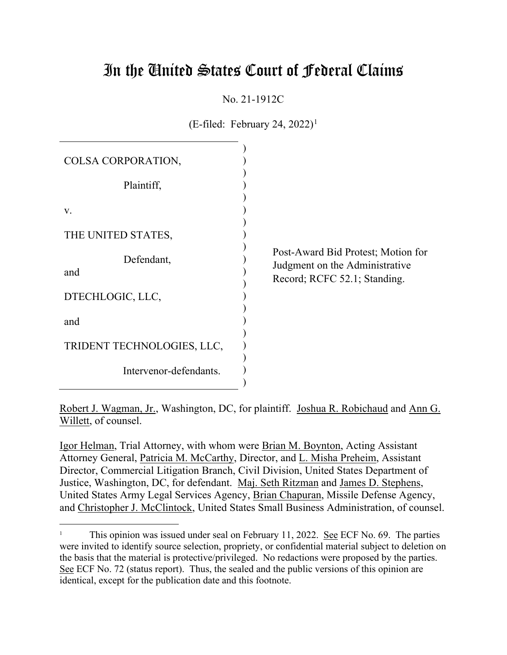# In the United States Court of Federal Claims

## No. 21-1912C

 $(E\text{-field: February 24}, 2022)^1$ 

| COLSA CORPORATION,         |                                                                                                      |
|----------------------------|------------------------------------------------------------------------------------------------------|
| Plaintiff,                 |                                                                                                      |
| V.                         |                                                                                                      |
| THE UNITED STATES,         |                                                                                                      |
| Defendant,<br>and          | Post-Award Bid Protest; Motion for<br>Judgment on the Administrative<br>Record; RCFC 52.1; Standing. |
| DTECHLOGIC, LLC,           |                                                                                                      |
| and                        |                                                                                                      |
| TRIDENT TECHNOLOGIES, LLC, |                                                                                                      |
| Intervenor-defendants.     |                                                                                                      |

Robert J. Wagman, Jr., Washington, DC, for plaintiff. Joshua R. Robichaud and Ann G. Willett, of counsel.

Igor Helman, Trial Attorney, with whom were Brian M. Boynton, Acting Assistant Attorney General, Patricia M. McCarthy, Director, and L. Misha Preheim, Assistant Director, Commercial Litigation Branch, Civil Division, United States Department of Justice, Washington, DC, for defendant. Maj. Seth Ritzman and James D. Stephens, United States Army Legal Services Agency, Brian Chapuran, Missile Defense Agency, and Christopher J. McClintock, United States Small Business Administration, of counsel.

<sup>1</sup> This opinion was issued under seal on February 11, 2022. See ECF No. 69. The parties were invited to identify source selection, propriety, or confidential material subject to deletion on the basis that the material is protective/privileged. No redactions were proposed by the parties. See ECF No. 72 (status report). Thus, the sealed and the public versions of this opinion are identical, except for the publication date and this footnote.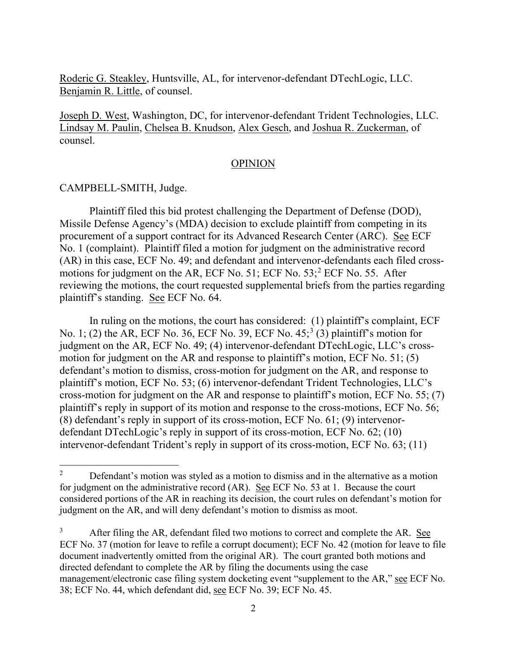Roderic G. Steakley, Huntsville, AL, for intervenor-defendant DTechLogic, LLC. Benjamin R. Little, of counsel.

Joseph D. West, Washington, DC, for intervenor-defendant Trident Technologies, LLC. Lindsay M. Paulin, Chelsea B. Knudson, Alex Gesch, and Joshua R. Zuckerman, of counsel.

#### OPINION

CAMPBELL-SMITH, Judge.

Plaintiff filed this bid protest challenging the Department of Defense (DOD), Missile Defense Agency's (MDA) decision to exclude plaintiff from competing in its procurement of a support contract for its Advanced Research Center (ARC). See ECF No. 1 (complaint). Plaintiff filed a motion for judgment on the administrative record (AR) in this case, ECF No. 49; and defendant and intervenor-defendants each filed crossmotions for judgment on the AR, ECF No. 51; ECF No. 53;<sup>2</sup> ECF No. 55. After reviewing the motions, the court requested supplemental briefs from the parties regarding plaintiff's standing. See ECF No. 64.

In ruling on the motions, the court has considered: (1) plaintiff's complaint, ECF No. 1; (2) the AR, ECF No. 36, ECF No. 39, ECF No. 45;<sup>3</sup> (3) plaintiff's motion for judgment on the AR, ECF No. 49; (4) intervenor-defendant DTechLogic, LLC's crossmotion for judgment on the AR and response to plaintiff's motion, ECF No. 51; (5) defendant's motion to dismiss, cross-motion for judgment on the AR, and response to plaintiff's motion, ECF No. 53; (6) intervenor-defendant Trident Technologies, LLC's cross-motion for judgment on the AR and response to plaintiff's motion, ECF No. 55; (7) plaintiff's reply in support of its motion and response to the cross-motions, ECF No. 56; (8) defendant's reply in support of its cross-motion, ECF No. 61; (9) intervenordefendant DTechLogic's reply in support of its cross-motion, ECF No. 62; (10) intervenor-defendant Trident's reply in support of its cross-motion, ECF No. 63; (11)

<sup>&</sup>lt;sup>2</sup> Defendant's motion was styled as a motion to dismiss and in the alternative as a motion for judgment on the administrative record (AR). See ECF No. 53 at 1. Because the court considered portions of the AR in reaching its decision, the court rules on defendant's motion for judgment on the AR, and will deny defendant's motion to dismiss as moot.

<sup>&</sup>lt;sup>3</sup> After filing the AR, defendant filed two motions to correct and complete the AR. See ECF No. 37 (motion for leave to refile a corrupt document); ECF No. 42 (motion for leave to file document inadvertently omitted from the original AR). The court granted both motions and directed defendant to complete the AR by filing the documents using the case management/electronic case filing system docketing event "supplement to the AR," see ECF No. 38; ECF No. 44, which defendant did, see ECF No. 39; ECF No. 45.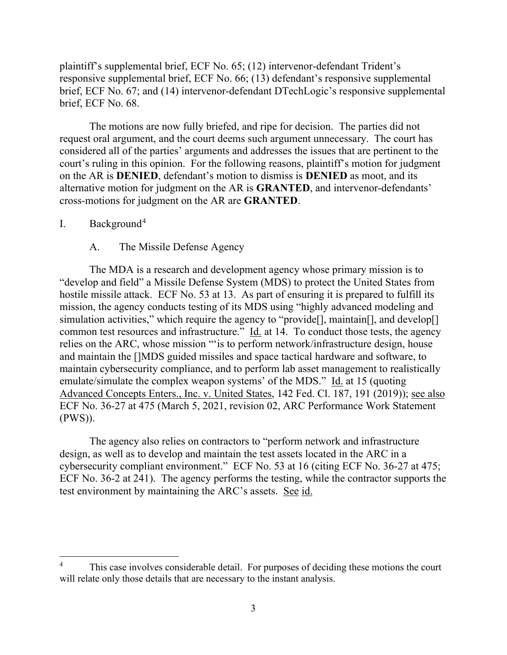plaintiff's supplemental brief, ECF No. 65; (12) intervenor-defendant Trident's responsive supplemental brief, ECF No. 66; (13) defendant's responsive supplemental brief, ECF No. 67; and (14) intervenor-defendant DTechLogic's responsive supplemental brief, ECF No. 68.

The motions are now fully briefed, and ripe for decision. The parties did not request oral argument, and the court deems such argument unnecessary. The court has considered all of the parties' arguments and addresses the issues that are pertinent to the court's ruling in this opinion. For the following reasons, plaintiff's motion for judgment on the AR is **DENIED**, defendant's motion to dismiss is **DENIED** as moot, and its alternative motion for judgment on the AR is **GRANTED**, and intervenor-defendants' cross-motions for judgment on the AR are **GRANTED**.

#### I. Background4

### A. The Missile Defense Agency

The MDA is a research and development agency whose primary mission is to "develop and field" a Missile Defense System (MDS) to protect the United States from hostile missile attack. ECF No. 53 at 13. As part of ensuring it is prepared to fulfill its mission, the agency conducts testing of its MDS using "highly advanced modeling and simulation activities," which require the agency to "provide<sup>[]</sup>, maintain<sup>[]</sup>, and develop<sup>[]</sup> common test resources and infrastructure." Id. at 14. To conduct those tests, the agency relies on the ARC, whose mission "'is to perform network/infrastructure design, house and maintain the []MDS guided missiles and space tactical hardware and software, to maintain cybersecurity compliance, and to perform lab asset management to realistically emulate/simulate the complex weapon systems' of the MDS." Id. at 15 (quoting Advanced Concepts Enters., Inc. v. United States, 142 Fed. Cl. 187, 191 (2019)); see also ECF No. 36-27 at 475 (March 5, 2021, revision 02, ARC Performance Work Statement (PWS)).

The agency also relies on contractors to "perform network and infrastructure design, as well as to develop and maintain the test assets located in the ARC in a cybersecurity compliant environment." ECF No. 53 at 16 (citing ECF No. 36-27 at 475; ECF No. 36-2 at 241). The agency performs the testing, while the contractor supports the test environment by maintaining the ARC's assets. See id.

<sup>&</sup>lt;sup>4</sup> This case involves considerable detail. For purposes of deciding these motions the court will relate only those details that are necessary to the instant analysis.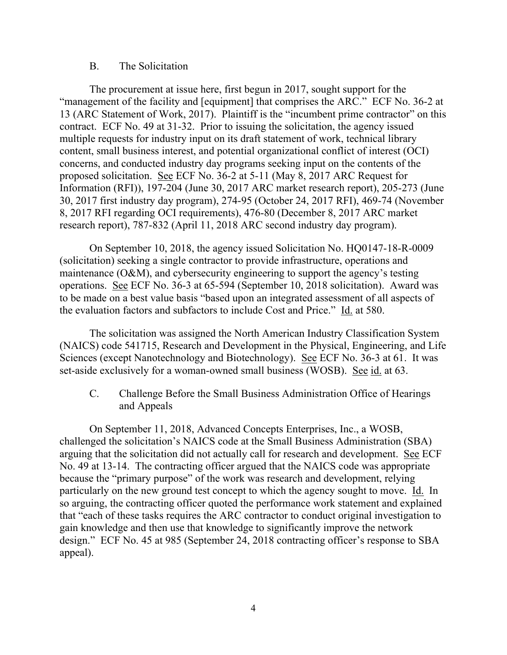#### B. The Solicitation

The procurement at issue here, first begun in 2017, sought support for the "management of the facility and [equipment] that comprises the ARC." ECF No. 36-2 at 13 (ARC Statement of Work, 2017). Plaintiff is the "incumbent prime contractor" on this contract. ECF No. 49 at 31-32. Prior to issuing the solicitation, the agency issued multiple requests for industry input on its draft statement of work, technical library content, small business interest, and potential organizational conflict of interest (OCI) concerns, and conducted industry day programs seeking input on the contents of the proposed solicitation. See ECF No. 36-2 at 5-11 (May 8, 2017 ARC Request for Information (RFI)), 197-204 (June 30, 2017 ARC market research report), 205-273 (June 30, 2017 first industry day program), 274-95 (October 24, 2017 RFI), 469-74 (November 8, 2017 RFI regarding OCI requirements), 476-80 (December 8, 2017 ARC market research report), 787-832 (April 11, 2018 ARC second industry day program).

On September 10, 2018, the agency issued Solicitation No. HQ0147-18-R-0009 (solicitation) seeking a single contractor to provide infrastructure, operations and maintenance (O&M), and cybersecurity engineering to support the agency's testing operations. See ECF No. 36-3 at 65-594 (September 10, 2018 solicitation). Award was to be made on a best value basis "based upon an integrated assessment of all aspects of the evaluation factors and subfactors to include Cost and Price." Id. at 580.

The solicitation was assigned the North American Industry Classification System (NAICS) code 541715, Research and Development in the Physical, Engineering, and Life Sciences (except Nanotechnology and Biotechnology). See ECF No. 36-3 at 61. It was set-aside exclusively for a woman-owned small business (WOSB). See id. at 63.

C. Challenge Before the Small Business Administration Office of Hearings and Appeals

On September 11, 2018, Advanced Concepts Enterprises, Inc., a WOSB, challenged the solicitation's NAICS code at the Small Business Administration (SBA) arguing that the solicitation did not actually call for research and development. See ECF No. 49 at 13-14. The contracting officer argued that the NAICS code was appropriate because the "primary purpose" of the work was research and development, relying particularly on the new ground test concept to which the agency sought to move. Id. In so arguing, the contracting officer quoted the performance work statement and explained that "each of these tasks requires the ARC contractor to conduct original investigation to gain knowledge and then use that knowledge to significantly improve the network design." ECF No. 45 at 985 (September 24, 2018 contracting officer's response to SBA appeal).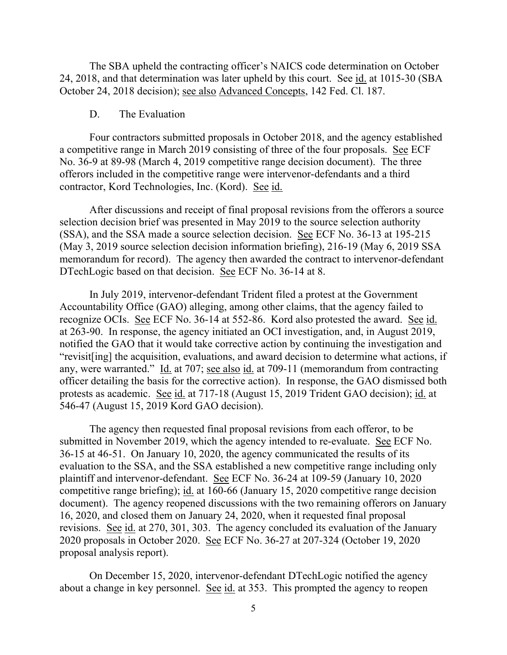The SBA upheld the contracting officer's NAICS code determination on October 24, 2018, and that determination was later upheld by this court. See id. at 1015-30 (SBA October 24, 2018 decision); see also Advanced Concepts, 142 Fed. Cl. 187.

#### D. The Evaluation

Four contractors submitted proposals in October 2018, and the agency established a competitive range in March 2019 consisting of three of the four proposals. See ECF No. 36-9 at 89-98 (March 4, 2019 competitive range decision document). The three offerors included in the competitive range were intervenor-defendants and a third contractor, Kord Technologies, Inc. (Kord). See id.

After discussions and receipt of final proposal revisions from the offerors a source selection decision brief was presented in May 2019 to the source selection authority (SSA), and the SSA made a source selection decision. See ECF No. 36-13 at 195-215 (May 3, 2019 source selection decision information briefing), 216-19 (May 6, 2019 SSA memorandum for record). The agency then awarded the contract to intervenor-defendant DTechLogic based on that decision. See ECF No. 36-14 at 8.

In July 2019, intervenor-defendant Trident filed a protest at the Government Accountability Office (GAO) alleging, among other claims, that the agency failed to recognize OCIs. See ECF No. 36-14 at 552-86. Kord also protested the award. See id. at 263-90. In response, the agency initiated an OCI investigation, and, in August 2019, notified the GAO that it would take corrective action by continuing the investigation and "revisit[ing] the acquisition, evaluations, and award decision to determine what actions, if any, were warranted." Id. at 707; see also id. at 709-11 (memorandum from contracting officer detailing the basis for the corrective action). In response, the GAO dismissed both protests as academic. See id. at 717-18 (August 15, 2019 Trident GAO decision); id. at 546-47 (August 15, 2019 Kord GAO decision).

The agency then requested final proposal revisions from each offeror, to be submitted in November 2019, which the agency intended to re-evaluate. See ECF No. 36-15 at 46-51. On January 10, 2020, the agency communicated the results of its evaluation to the SSA, and the SSA established a new competitive range including only plaintiff and intervenor-defendant. See ECF No. 36-24 at 109-59 (January 10, 2020 competitive range briefing); id. at 160-66 (January 15, 2020 competitive range decision document). The agency reopened discussions with the two remaining offerors on January 16, 2020, and closed them on January 24, 2020, when it requested final proposal revisions. See id. at 270, 301, 303. The agency concluded its evaluation of the January 2020 proposals in October 2020. See ECF No. 36-27 at 207-324 (October 19, 2020 proposal analysis report).

On December 15, 2020, intervenor-defendant DTechLogic notified the agency about a change in key personnel. See id. at 353. This prompted the agency to reopen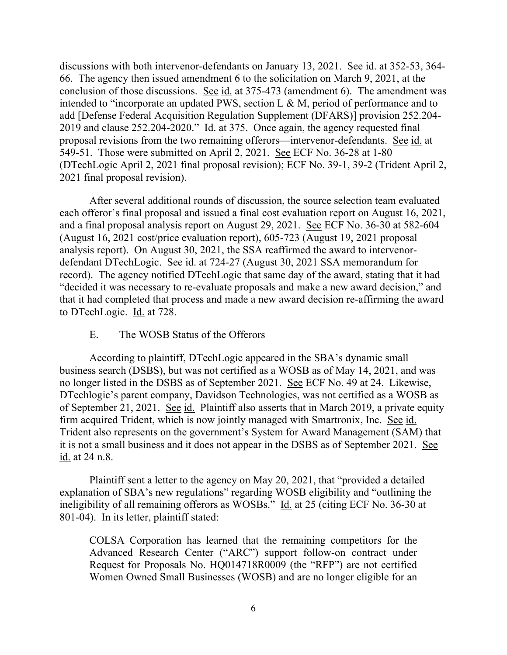discussions with both intervenor-defendants on January 13, 2021. See id. at 352-53, 364- 66. The agency then issued amendment 6 to the solicitation on March 9, 2021, at the conclusion of those discussions. See id. at 375-473 (amendment 6). The amendment was intended to "incorporate an updated PWS, section L & M, period of performance and to add [Defense Federal Acquisition Regulation Supplement (DFARS)] provision 252.204- 2019 and clause 252.204-2020." Id. at 375. Once again, the agency requested final proposal revisions from the two remaining offerors—intervenor-defendants. See id. at 549-51. Those were submitted on April 2, 2021. See ECF No. 36-28 at 1-80 (DTechLogic April 2, 2021 final proposal revision); ECF No. 39-1, 39-2 (Trident April 2, 2021 final proposal revision).

After several additional rounds of discussion, the source selection team evaluated each offeror's final proposal and issued a final cost evaluation report on August 16, 2021, and a final proposal analysis report on August 29, 2021. See ECF No. 36-30 at 582-604 (August 16, 2021 cost/price evaluation report), 605-723 (August 19, 2021 proposal analysis report). On August 30, 2021, the SSA reaffirmed the award to intervenordefendant DTechLogic. See id. at 724-27 (August 30, 2021 SSA memorandum for record). The agency notified DTechLogic that same day of the award, stating that it had "decided it was necessary to re-evaluate proposals and make a new award decision," and that it had completed that process and made a new award decision re-affirming the award to DTechLogic. Id. at 728.

#### E. The WOSB Status of the Offerors

According to plaintiff, DTechLogic appeared in the SBA's dynamic small business search (DSBS), but was not certified as a WOSB as of May 14, 2021, and was no longer listed in the DSBS as of September 2021. See ECF No. 49 at 24. Likewise, DTechlogic's parent company, Davidson Technologies, was not certified as a WOSB as of September 21, 2021. See id. Plaintiff also asserts that in March 2019, a private equity firm acquired Trident, which is now jointly managed with Smartronix, Inc. See id. Trident also represents on the government's System for Award Management (SAM) that it is not a small business and it does not appear in the DSBS as of September 2021. See id. at 24 n.8.

Plaintiff sent a letter to the agency on May 20, 2021, that "provided a detailed explanation of SBA's new regulations" regarding WOSB eligibility and "outlining the ineligibility of all remaining offerors as WOSBs." Id. at 25 (citing ECF No. 36-30 at 801-04). In its letter, plaintiff stated:

COLSA Corporation has learned that the remaining competitors for the Advanced Research Center ("ARC") support follow-on contract under Request for Proposals No. HQ014718R0009 (the "RFP") are not certified Women Owned Small Businesses (WOSB) and are no longer eligible for an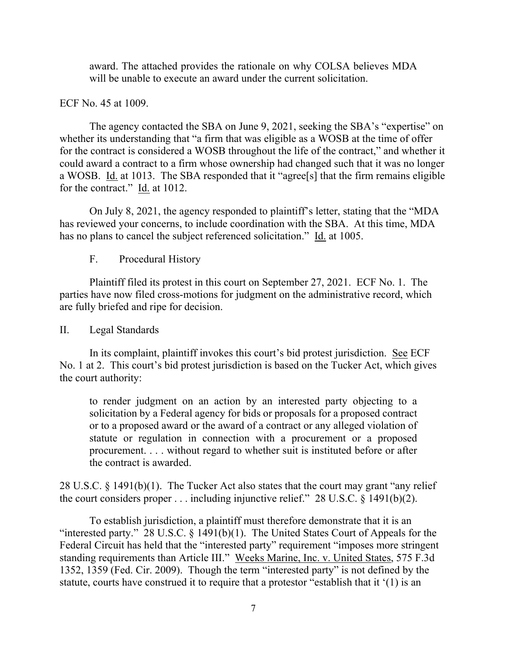award. The attached provides the rationale on why COLSA believes MDA will be unable to execute an award under the current solicitation.

## ECF No. 45 at 1009.

The agency contacted the SBA on June 9, 2021, seeking the SBA's "expertise" on whether its understanding that "a firm that was eligible as a WOSB at the time of offer for the contract is considered a WOSB throughout the life of the contract," and whether it could award a contract to a firm whose ownership had changed such that it was no longer a WOSB. Id. at 1013. The SBA responded that it "agree[s] that the firm remains eligible for the contract." Id. at 1012.

On July 8, 2021, the agency responded to plaintiff's letter, stating that the "MDA has reviewed your concerns, to include coordination with the SBA. At this time, MDA has no plans to cancel the subject referenced solicitation." Id. at 1005.

F. Procedural History

Plaintiff filed its protest in this court on September 27, 2021. ECF No. 1. The parties have now filed cross-motions for judgment on the administrative record, which are fully briefed and ripe for decision.

# II. Legal Standards

In its complaint, plaintiff invokes this court's bid protest jurisdiction. See ECF No. 1 at 2. This court's bid protest jurisdiction is based on the Tucker Act, which gives the court authority:

to render judgment on an action by an interested party objecting to a solicitation by a Federal agency for bids or proposals for a proposed contract or to a proposed award or the award of a contract or any alleged violation of statute or regulation in connection with a procurement or a proposed procurement. . . . without regard to whether suit is instituted before or after the contract is awarded.

28 U.S.C. § 1491(b)(1). The Tucker Act also states that the court may grant "any relief the court considers proper . . . including injunctive relief." 28 U.S.C. § 1491(b)(2).

To establish jurisdiction, a plaintiff must therefore demonstrate that it is an "interested party." 28 U.S.C.  $\S$  1491(b)(1). The United States Court of Appeals for the Federal Circuit has held that the "interested party" requirement "imposes more stringent standing requirements than Article III." Weeks Marine, Inc. v. United States, 575 F.3d 1352, 1359 (Fed. Cir. 2009). Though the term "interested party" is not defined by the statute, courts have construed it to require that a protestor "establish that it '(1) is an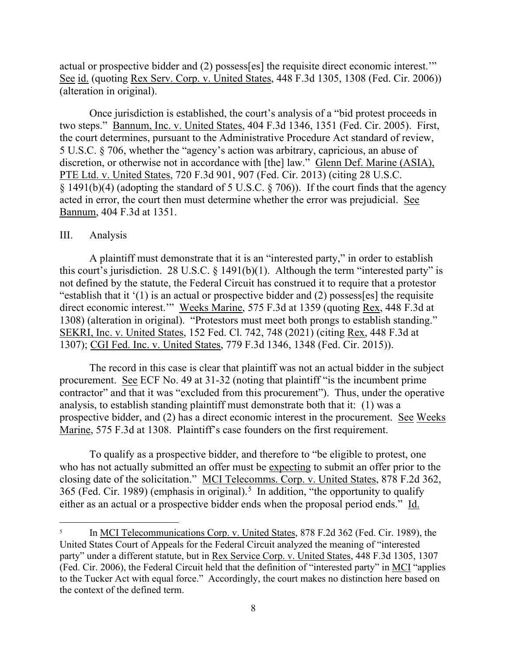actual or prospective bidder and (2) possess[es] the requisite direct economic interest.'" See id. (quoting Rex Serv. Corp. v. United States, 448 F.3d 1305, 1308 (Fed. Cir. 2006)) (alteration in original).

Once jurisdiction is established, the court's analysis of a "bid protest proceeds in two steps." Bannum, Inc. v. United States, 404 F.3d 1346, 1351 (Fed. Cir. 2005). First, the court determines, pursuant to the Administrative Procedure Act standard of review, 5 U.S.C. § 706, whether the "agency's action was arbitrary, capricious, an abuse of discretion, or otherwise not in accordance with [the] law." Glenn Def. Marine (ASIA), PTE Ltd. v. United States, 720 F.3d 901, 907 (Fed. Cir. 2013) (citing 28 U.S.C. § 1491(b)(4) (adopting the standard of 5 U.S.C. § 706)). If the court finds that the agency acted in error, the court then must determine whether the error was prejudicial. See Bannum, 404 F.3d at 1351.

#### III. Analysis

A plaintiff must demonstrate that it is an "interested party," in order to establish this court's jurisdiction. 28 U.S.C.  $\S$  1491(b)(1). Although the term "interested party" is not defined by the statute, the Federal Circuit has construed it to require that a protestor "establish that it '(1) is an actual or prospective bidder and (2) possess[es] the requisite direct economic interest.'" Weeks Marine, 575 F.3d at 1359 (quoting Rex, 448 F.3d at 1308) (alteration in original). "Protestors must meet both prongs to establish standing." SEKRI, Inc. v. United States, 152 Fed. Cl. 742, 748 (2021) (citing Rex, 448 F.3d at 1307); CGI Fed. Inc. v. United States, 779 F.3d 1346, 1348 (Fed. Cir. 2015)).

The record in this case is clear that plaintiff was not an actual bidder in the subject procurement. See ECF No. 49 at 31-32 (noting that plaintiff "is the incumbent prime contractor" and that it was "excluded from this procurement"). Thus, under the operative analysis, to establish standing plaintiff must demonstrate both that it: (1) was a prospective bidder, and (2) has a direct economic interest in the procurement. See Weeks Marine, 575 F.3d at 1308. Plaintiff's case founders on the first requirement.

To qualify as a prospective bidder, and therefore to "be eligible to protest, one who has not actually submitted an offer must be expecting to submit an offer prior to the closing date of the solicitation." MCI Telecomms. Corp. v. United States, 878 F.2d 362, 365 (Fed. Cir. 1989) (emphasis in original).<sup>5</sup> In addition, "the opportunity to qualify either as an actual or a prospective bidder ends when the proposal period ends." Id.

<sup>&</sup>lt;sup>5</sup> In MCI Telecommunications Corp. v. United States, 878 F.2d 362 (Fed. Cir. 1989), the United States Court of Appeals for the Federal Circuit analyzed the meaning of "interested party" under a different statute, but in Rex Service Corp. v. United States, 448 F.3d 1305, 1307 (Fed. Cir. 2006), the Federal Circuit held that the definition of "interested party" in MCI "applies to the Tucker Act with equal force." Accordingly, the court makes no distinction here based on the context of the defined term.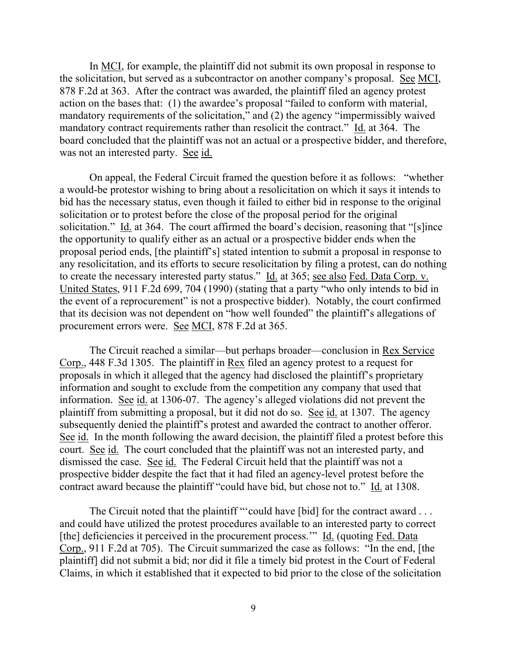In MCI, for example, the plaintiff did not submit its own proposal in response to the solicitation, but served as a subcontractor on another company's proposal. See MCI, 878 F.2d at 363. After the contract was awarded, the plaintiff filed an agency protest action on the bases that: (1) the awardee's proposal "failed to conform with material, mandatory requirements of the solicitation," and (2) the agency "impermissibly waived mandatory contract requirements rather than resolicit the contract." Id. at 364. The board concluded that the plaintiff was not an actual or a prospective bidder, and therefore, was not an interested party. See id.

On appeal, the Federal Circuit framed the question before it as follows: "whether a would-be protestor wishing to bring about a resolicitation on which it says it intends to bid has the necessary status, even though it failed to either bid in response to the original solicitation or to protest before the close of the proposal period for the original solicitation." Id. at 364. The court affirmed the board's decision, reasoning that "[s]ince the opportunity to qualify either as an actual or a prospective bidder ends when the proposal period ends, [the plaintiff's] stated intention to submit a proposal in response to any resolicitation, and its efforts to secure resolicitation by filing a protest, can do nothing to create the necessary interested party status." Id. at 365; see also Fed. Data Corp. v. United States, 911 F.2d 699, 704 (1990) (stating that a party "who only intends to bid in the event of a reprocurement" is not a prospective bidder). Notably, the court confirmed that its decision was not dependent on "how well founded" the plaintiff's allegations of procurement errors were. See MCI, 878 F.2d at 365.

The Circuit reached a similar—but perhaps broader—conclusion in Rex Service Corp., 448 F.3d 1305. The plaintiff in Rex filed an agency protest to a request for proposals in which it alleged that the agency had disclosed the plaintiff's proprietary information and sought to exclude from the competition any company that used that information. See id. at 1306-07. The agency's alleged violations did not prevent the plaintiff from submitting a proposal, but it did not do so. See id. at 1307. The agency subsequently denied the plaintiff's protest and awarded the contract to another offeror. See id. In the month following the award decision, the plaintiff filed a protest before this court. See id. The court concluded that the plaintiff was not an interested party, and dismissed the case. See id. The Federal Circuit held that the plaintiff was not a prospective bidder despite the fact that it had filed an agency-level protest before the contract award because the plaintiff "could have bid, but chose not to." Id. at 1308.

The Circuit noted that the plaintiff "'could have [bid] for the contract award ... and could have utilized the protest procedures available to an interested party to correct [the] deficiencies it perceived in the procurement process." Id. (quoting Fed. Data Corp., 911 F.2d at 705). The Circuit summarized the case as follows: "In the end, [the plaintiff] did not submit a bid; nor did it file a timely bid protest in the Court of Federal Claims, in which it established that it expected to bid prior to the close of the solicitation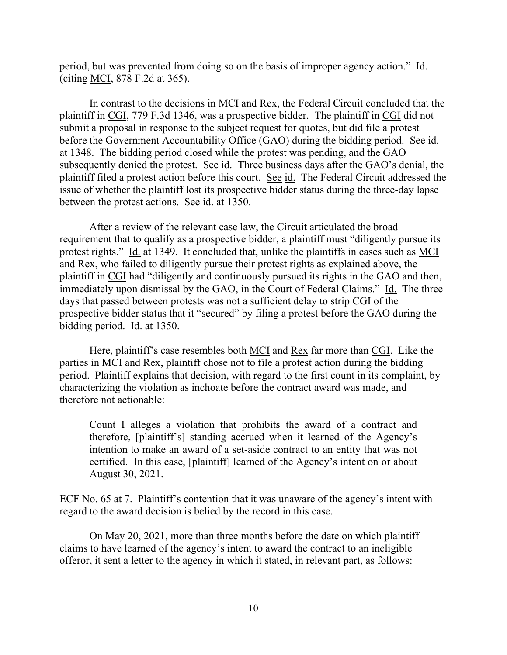period, but was prevented from doing so on the basis of improper agency action." Id. (citing MCI, 878 F.2d at 365).

In contrast to the decisions in <u>MCI</u> and <u>Rex</u>, the Federal Circuit concluded that the plaintiff in CGI, 779 F.3d 1346, was a prospective bidder. The plaintiff in CGI did not submit a proposal in response to the subject request for quotes, but did file a protest before the Government Accountability Office (GAO) during the bidding period. See id. at 1348. The bidding period closed while the protest was pending, and the GAO subsequently denied the protest. See id. Three business days after the GAO's denial, the plaintiff filed a protest action before this court. See id. The Federal Circuit addressed the issue of whether the plaintiff lost its prospective bidder status during the three-day lapse between the protest actions. See id. at 1350.

After a review of the relevant case law, the Circuit articulated the broad requirement that to qualify as a prospective bidder, a plaintiff must "diligently pursue its protest rights." Id. at 1349. It concluded that, unlike the plaintiffs in cases such as MCI and Rex, who failed to diligently pursue their protest rights as explained above, the plaintiff in CGI had "diligently and continuously pursued its rights in the GAO and then, immediately upon dismissal by the GAO, in the Court of Federal Claims." Id. The three days that passed between protests was not a sufficient delay to strip CGI of the prospective bidder status that it "secured" by filing a protest before the GAO during the bidding period. Id. at 1350.

Here, plaintiff's case resembles both MCI and Rex far more than CGI. Like the parties in MCI and Rex, plaintiff chose not to file a protest action during the bidding period. Plaintiff explains that decision, with regard to the first count in its complaint, by characterizing the violation as inchoate before the contract award was made, and therefore not actionable:

Count I alleges a violation that prohibits the award of a contract and therefore, [plaintiff's] standing accrued when it learned of the Agency's intention to make an award of a set-aside contract to an entity that was not certified. In this case, [plaintiff] learned of the Agency's intent on or about August 30, 2021.

ECF No. 65 at 7. Plaintiff's contention that it was unaware of the agency's intent with regard to the award decision is belied by the record in this case.

On May 20, 2021, more than three months before the date on which plaintiff claims to have learned of the agency's intent to award the contract to an ineligible offeror, it sent a letter to the agency in which it stated, in relevant part, as follows: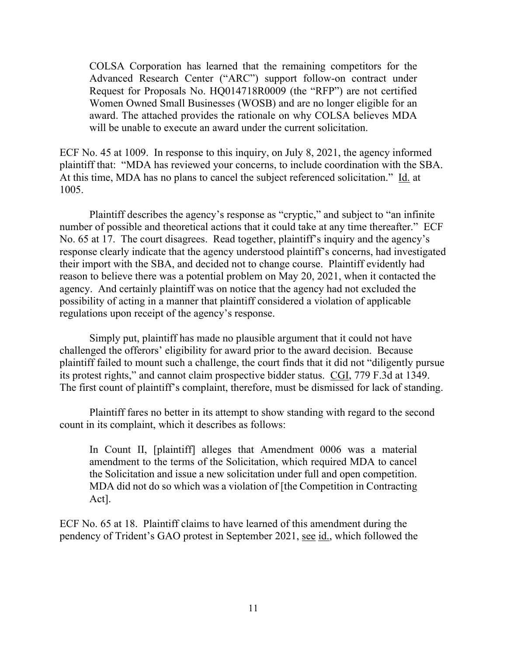COLSA Corporation has learned that the remaining competitors for the Advanced Research Center ("ARC") support follow-on contract under Request for Proposals No. HQ014718R0009 (the "RFP") are not certified Women Owned Small Businesses (WOSB) and are no longer eligible for an award. The attached provides the rationale on why COLSA believes MDA will be unable to execute an award under the current solicitation.

ECF No. 45 at 1009. In response to this inquiry, on July 8, 2021, the agency informed plaintiff that: "MDA has reviewed your concerns, to include coordination with the SBA. At this time, MDA has no plans to cancel the subject referenced solicitation." Id. at 1005.

Plaintiff describes the agency's response as "cryptic," and subject to "an infinite number of possible and theoretical actions that it could take at any time thereafter." ECF No. 65 at 17. The court disagrees. Read together, plaintiff's inquiry and the agency's response clearly indicate that the agency understood plaintiff's concerns, had investigated their import with the SBA, and decided not to change course. Plaintiff evidently had reason to believe there was a potential problem on May 20, 2021, when it contacted the agency. And certainly plaintiff was on notice that the agency had not excluded the possibility of acting in a manner that plaintiff considered a violation of applicable regulations upon receipt of the agency's response.

Simply put, plaintiff has made no plausible argument that it could not have challenged the offerors' eligibility for award prior to the award decision. Because plaintiff failed to mount such a challenge, the court finds that it did not "diligently pursue its protest rights," and cannot claim prospective bidder status. CGI, 779 F.3d at 1349. The first count of plaintiff's complaint, therefore, must be dismissed for lack of standing.

Plaintiff fares no better in its attempt to show standing with regard to the second count in its complaint, which it describes as follows:

In Count II, [plaintiff] alleges that Amendment 0006 was a material amendment to the terms of the Solicitation, which required MDA to cancel the Solicitation and issue a new solicitation under full and open competition. MDA did not do so which was a violation of [the Competition in Contracting Act].

ECF No. 65 at 18. Plaintiff claims to have learned of this amendment during the pendency of Trident's GAO protest in September 2021, see id., which followed the